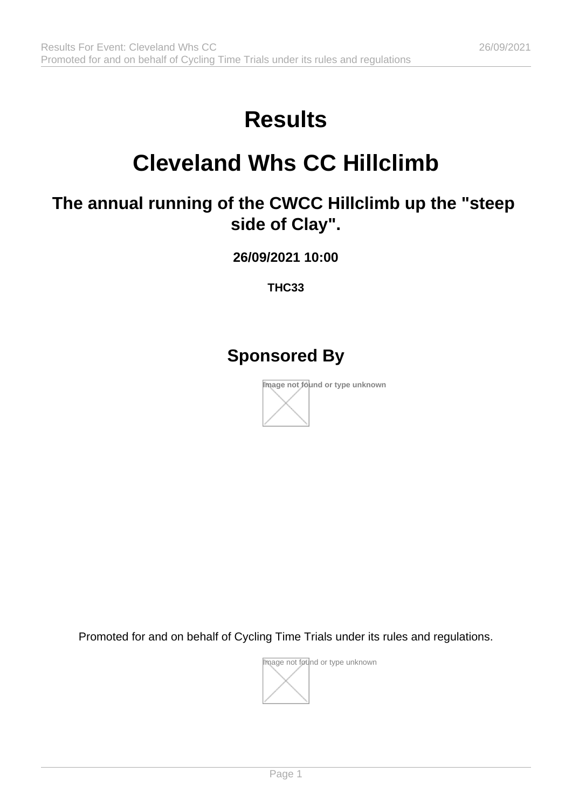# **Results**

## **Cleveland Whs CC Hillclimb**

## **The annual running of the CWCC Hillclimb up the "steep side of Clay".**

**26/09/2021 10:00**

**THC33**

### **Sponsored By**



Promoted for and on behalf of Cycling Time Trials under its rules and regulations.

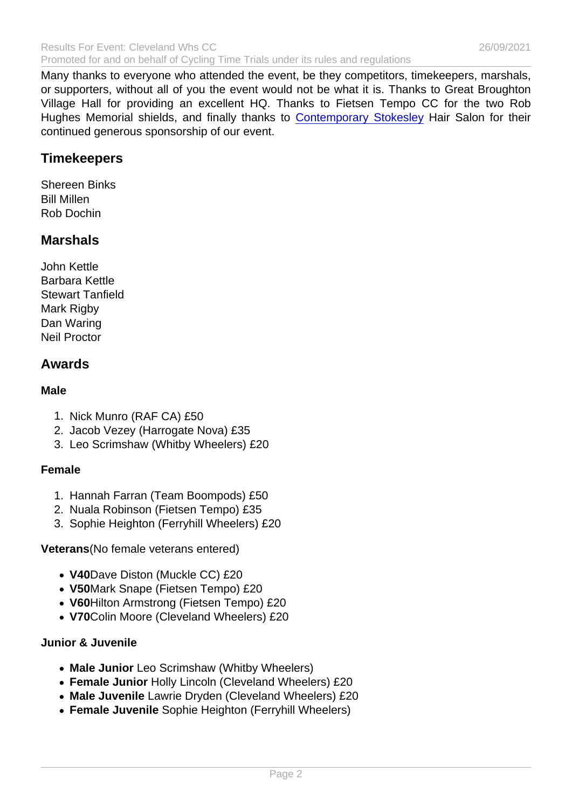Many thanks to everyone who attended the event, be they competitors, timekeepers, marshals, or supporters, without all of you the event would not be what it is. Thanks to Great Broughton Village Hall for providing an excellent HQ. Thanks to Fietsen Tempo CC for the two Rob Hughes Memorial shields, and finally thanks to [Contemporary Stokesley](https://www.contemporarysalons.com/stokesley/) Hair Salon for their continued generous sponsorship of our event.

**Timekeepers** 

Shereen Binks Bill Millen Rob Dochin

**Marshals** 

John Kettle Barbara Kettle Stewart Tanfield Mark Rigby Dan Waring Neil Proctor

#### Awards

Male

- 1. Nick Munro (RAF CA) £50
- 2. Jacob Vezey (Harrogate Nova) £35
- 3. Leo Scrimshaw (Whitby Wheelers) £20

#### Female

- 1. Hannah Farran (Team Boompods) £50
- 2. Nuala Robinson (Fietsen Tempo) £35
- 3. Sophie Heighton (Ferryhill Wheelers) £20

Veterans (No female veterans entered)

- V40Dave Diston (Muckle CC) £20
- V50Mark Snape (Fietsen Tempo) £20
- V60Hilton Armstrong (Fietsen Tempo) £20
- V70Colin Moore (Cleveland Wheelers) £20

#### Junior & Juvenile

- Male Junior Leo Scrimshaw (Whitby Wheelers)
- Female Junior Holly Lincoln (Cleveland Wheelers) £20
- Male Juvenile Lawrie Dryden (Cleveland Wheelers) £20
- Female Juvenile Sophie Heighton (Ferryhill Wheelers)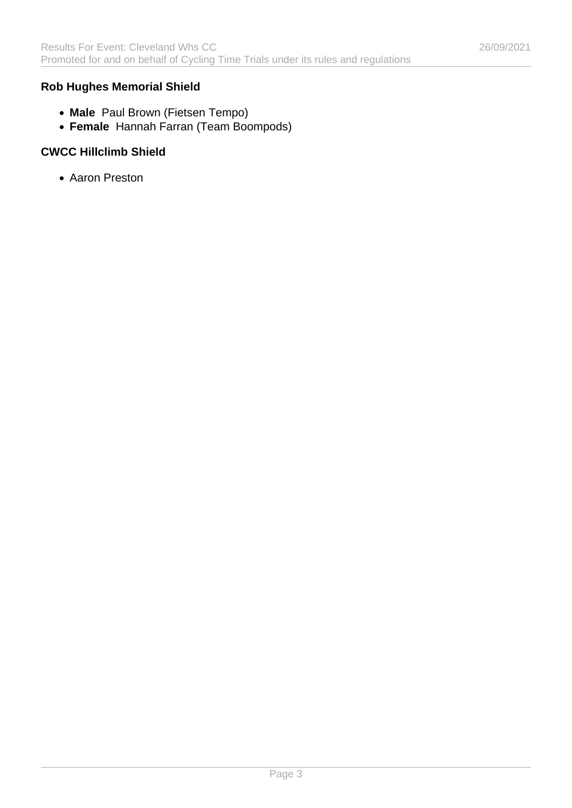#### **Rob Hughes Memorial Shield**

- **Male** Paul Brown (Fietsen Tempo)
- **Female** Hannah Farran (Team Boompods)

#### **CWCC Hillclimb Shield**

Aaron Preston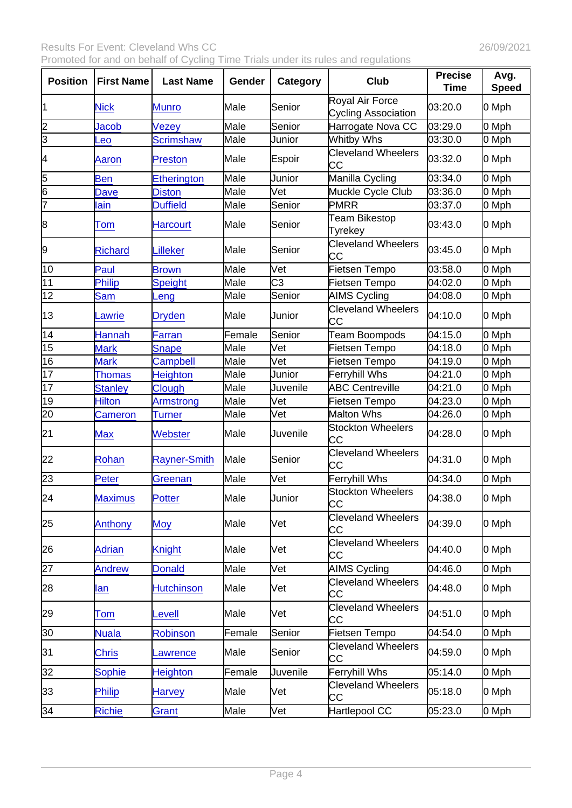| Position        | <b>First Name</b> | Last Name           | Gender | Category | Club                                          | Precise<br>Time | Avg.<br>Speed |
|-----------------|-------------------|---------------------|--------|----------|-----------------------------------------------|-----------------|---------------|
| 11              | <b>Nick</b>       | <b>Munro</b>        | Male   | Senior   | Royal Air Force<br><b>Cycling Association</b> | 03:20.0         | 0 Mph         |
| 2               | Jacob             | Vezey               | Male   | Senior   | Harrogate Nova CC                             | 03:29.0         | 0 Mph         |
| $\overline{3}$  | Leo               | <b>Scrimshaw</b>    | Male   | Junior   | Whitby Whs                                    | 03:30.0         | 0 Mph         |
| 4               | Aaron             | Preston             | Male   | Espoir   | <b>Cleveland Wheelers</b><br>CC               | 03:32.0         | 0 Mph         |
| 5               | <b>Ben</b>        | <b>Etherington</b>  | Male   | Junior   | Manilla Cycling                               | 03:34.0         | 0 Mph         |
| 6               | Dave              | <b>Diston</b>       | Male   | Vet      | Muckle Cycle Club                             | 03:36.0         | 0 Mph         |
| 7               | lain              | <b>Duffield</b>     | Male   | Senior   | <b>PMRR</b>                                   | 03:37.0         | 0 Mph         |
| 8               | Tom               | <b>Harcourt</b>     | Male   | Senior   | Team Bikestop<br>Tyrekey                      | 03:43.0         | 0 Mph         |
| 9               | <b>Richard</b>    | Lilleker            | Male   | Senior   | <b>Cleveland Wheelers</b><br>CC               | 03:45.0         | 0 Mph         |
| 10              | Paul              | <b>Brown</b>        | Male   | Vet      | Fietsen Tempo                                 | 03:58.0         | 0 Mph         |
| 11              | Philip            | <b>Speight</b>      | Male   | C3       | Fietsen Tempo                                 | 04:02.0         | 0 Mph         |
| $\overline{12}$ | <b>Sam</b>        | Leng                | Male   | Senior   | <b>AIMS Cycling</b>                           | 04:08.0         | 0 Mph         |
| 13              | _awrie            | <b>Dryden</b>       | Male   | Junior   | <b>Cleveland Wheelers</b><br>lС               | 04:10.0         | 0 Mph         |
| 14              | <b>Hannah</b>     | Farran              | Female | Senior   | <b>Team Boompods</b>                          | 04:15.0         | 0 Mph         |
| 15              | <b>Mark</b>       | <b>Snape</b>        | Male   | Vet      | Fietsen Tempo                                 | 04:18.0         | 0 Mph         |
| 16              | <b>Mark</b>       | Campbell            | Male   | Vet      | Fietsen Tempo                                 | 04:19.0         | 0 Mph         |
| 17              | <b>Thomas</b>     | <b>Heighton</b>     | Male   | Junior   | <b>Ferryhill Whs</b>                          | 04:21.0         | 0 Mph         |
| $\overline{17}$ | <b>Stanley</b>    | Clough              | Male   | Juvenile | <b>ABC Centreville</b>                        | 04:21.0         | 0 Mph         |
| 19              | <b>Hilton</b>     | Armstrong           | Male   | Vet      | Fietsen Tempo                                 | 04:23.0         | 0 Mph         |
| 20              | <b>Cameron</b>    | <b>Turner</b>       | Male   | Vet      | Malton Whs                                    | 04:26.0         | 0 Mph         |
| 21              | <b>Max</b>        | Webster             | Male   | Juvenile | <b>Stockton Wheelers</b><br>lсс               | 04:28.0         | 0 Mph         |
| 22              | Rohan             | <b>Rayner-Smith</b> | Male   | Senior   | <b>Cleveland Wheelers</b><br>IСC              | 04:31.0         | 0 Mph         |
| 23              | Peter             | Greenan             | Male   | Vet      | <b>Ferryhill Whs</b>                          | 04:34.0         | 0 Mph         |
| 24              | <b>Maximus</b>    | <b>Potter</b>       | Male   | Junior   | <b>Stockton Wheelers</b><br><b>CC</b>         | 04:38.0         | 0 Mph         |
| 25              | Anthony           | <b>Moy</b>          | Male   | Vet      | <b>Cleveland Wheelers</b><br>CС               | 04:39.0         | 0 Mph         |
| 26              | <b>Adrian</b>     | <b>Knight</b>       | Male   | Vet      | <b>Cleveland Wheelers</b><br>СC               | 04:40.0         | 0 Mph         |
| 27              | Andrew            | <b>Donald</b>       | Male   | Vet      | <b>AIMS Cycling</b>                           | 04:46.0         | 0 Mph         |
| 28              | lan               | <b>Hutchinson</b>   | Male   | Vet      | <b>Cleveland Wheelers</b><br>CС               | 04:48.0         | 0 Mph         |
| 29              | Tom               | Levell              | Male   | Vet      | <b>Cleveland Wheelers</b><br>СC               | 04:51.0         | 0 Mph         |
| 30              | <b>Nuala</b>      | <b>Robinson</b>     | Female | Senior   | Fietsen Tempo                                 | 04:54.0         | 0 Mph         |
| 31              | <b>Chris</b>      | Lawrence            | Male   | Senior   | <b>Cleveland Wheelers</b><br>СC               | 04:59.0         | 0 Mph         |
| 32              | <b>Sophie</b>     | <b>Heighton</b>     | Female | Juvenile | <b>Ferryhill Whs</b>                          | 05:14.0         | 0 Mph         |
| 33              | <b>Philip</b>     | Harvey              | Male   | Vet      | <b>Cleveland Wheelers</b><br>CС               | 05:18.0         | 0 Mph         |
| 34              | <b>Richie</b>     | Grant               | Male   | Vet      | Hartlepool CC                                 | 05:23.0         | 0 Mph         |